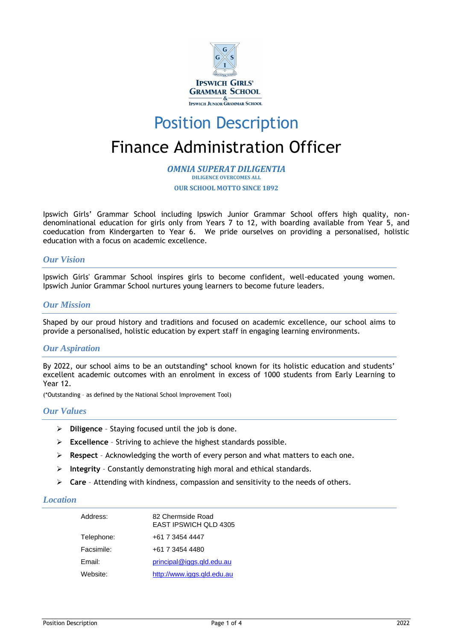

# Position Description Finance Administration Officer

*OMNIA SUPERAT DILIGENTIA* **DILIGENCE OVERCOMES ALL OUR SCHOOL MOTTO SINCE 1892**

Ipswich Girls' Grammar School including Ipswich Junior Grammar School offers high quality, nondenominational education for girls only from Years 7 to 12, with boarding available from Year 5, and coeducation from Kindergarten to Year 6. We pride ourselves on providing a personalised, holistic education with a focus on academic excellence.

## *Our Vision*

Ipswich Girls' Grammar School inspires girls to become confident, well-educated young women. Ipswich Junior Grammar School nurtures young learners to become future leaders.

## *Our Mission*

Shaped by our proud history and traditions and focused on academic excellence, our school aims to provide a personalised, holistic education by expert staff in engaging learning environments.

# *Our Aspiration*

By 2022, our school aims to be an outstanding\* school known for its holistic education and students' excellent academic outcomes with an enrolment in excess of 1000 students from Early Learning to Year 12.

(\*Outstanding – as defined by the National School Improvement Tool)

#### *Our Values*

- ➢ **Diligence**  Staying focused until the job is done.
- ➢ **Excellence** Striving to achieve the highest standards possible.
- ➢ **Respect**  Acknowledging the worth of every person and what matters to each one.
- ➢ **Integrity** Constantly demonstrating high moral and ethical standards.
- ➢ **Care** Attending with kindness, compassion and sensitivity to the needs of others.

## *Location*

| Address:   | 82 Chermside Road<br><b>EAST IPSWICH QLD 4305</b> |
|------------|---------------------------------------------------|
| Telephone: | +61 7 3454 4447                                   |
| Facsimile: | +61 7 3454 4480                                   |
| Email:     | principal@iggs.qld.edu.au                         |
| Website:   | http://www.iggs.gld.edu.au                        |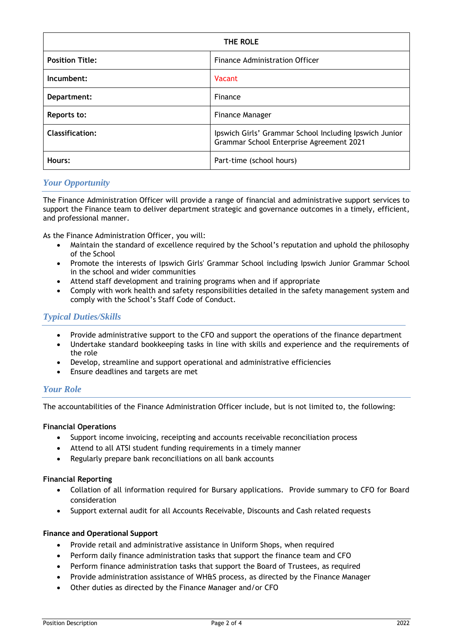| THE ROLE               |                                                                                                    |
|------------------------|----------------------------------------------------------------------------------------------------|
| <b>Position Title:</b> | <b>Finance Administration Officer</b>                                                              |
| Incumbent:             | Vacant                                                                                             |
| Department:            | Finance                                                                                            |
| Reports to:            | Finance Manager                                                                                    |
| <b>Classification:</b> | Ipswich Girls' Grammar School Including Ipswich Junior<br>Grammar School Enterprise Agreement 2021 |
| Hours:                 | Part-time (school hours)                                                                           |

# *Your Opportunity*

The Finance Administration Officer will provide a range of financial and administrative support services to support the Finance team to deliver department strategic and governance outcomes in a timely, efficient, and professional manner.

As the Finance Administration Officer, you will:

- Maintain the standard of excellence required by the School's reputation and uphold the philosophy of the School
- Promote the interests of Ipswich Girls' Grammar School including Ipswich Junior Grammar School in the school and wider communities
- Attend staff development and training programs when and if appropriate
- Comply with work health and safety responsibilities detailed in the safety management system and comply with the School's Staff Code of Conduct.

# *Typical Duties/Skills*

- Provide administrative support to the CFO and support the operations of the finance department
- Undertake standard bookkeeping tasks in line with skills and experience and the requirements of the role
- Develop, streamline and support operational and administrative efficiencies
- Ensure deadlines and targets are met

# *Your Role*

The accountabilities of the Finance Administration Officer include, but is not limited to, the following:

#### **Financial Operations**

- Support income invoicing, receipting and accounts receivable reconciliation process
- Attend to all ATSI student funding requirements in a timely manner
- Regularly prepare bank reconciliations on all bank accounts

#### **Financial Reporting**

- Collation of all information required for Bursary applications. Provide summary to CFO for Board consideration
- Support external audit for all Accounts Receivable, Discounts and Cash related requests

#### **Finance and Operational Support**

- Provide retail and administrative assistance in Uniform Shops, when required
- Perform daily finance administration tasks that support the finance team and CFO
- Perform finance administration tasks that support the Board of Trustees, as required
- Provide administration assistance of WH&S process, as directed by the Finance Manager
- Other duties as directed by the Finance Manager and/or CFO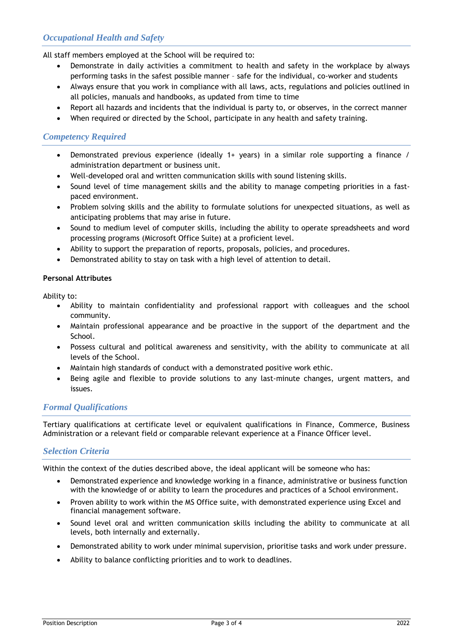# *Occupational Health and Safety*

All staff members employed at the School will be required to:

- Demonstrate in daily activities a commitment to health and safety in the workplace by always performing tasks in the safest possible manner – safe for the individual, co-worker and students
- Always ensure that you work in compliance with all laws, acts, regulations and policies outlined in all policies, manuals and handbooks, as updated from time to time
- Report all hazards and incidents that the individual is party to, or observes, in the correct manner
- When required or directed by the School, participate in any health and safety training.

# *Competency Required*

- Demonstrated previous experience (ideally 1+ years) in a similar role supporting a finance / administration department or business unit.
- Well-developed oral and written communication skills with sound listening skills.
- Sound level of time management skills and the ability to manage competing priorities in a fastpaced environment.
- Problem solving skills and the ability to formulate solutions for unexpected situations, as well as anticipating problems that may arise in future.
- Sound to medium level of computer skills, including the ability to operate spreadsheets and word processing programs (Microsoft Office Suite) at a proficient level.
- Ability to support the preparation of reports, proposals, policies, and procedures.
- Demonstrated ability to stay on task with a high level of attention to detail.

#### **Personal Attributes**

Ability to:

- Ability to maintain confidentiality and professional rapport with colleagues and the school community.
- Maintain professional appearance and be proactive in the support of the department and the School.
- Possess cultural and political awareness and sensitivity, with the ability to communicate at all levels of the School.
- Maintain high standards of conduct with a demonstrated positive work ethic.
- Being agile and flexible to provide solutions to any last-minute changes, urgent matters, and issues.

# *Formal Qualifications*

Tertiary qualifications at certificate level or equivalent qualifications in Finance, Commerce, Business Administration or a relevant field or comparable relevant experience at a Finance Officer level.

# *Selection Criteria*

Within the context of the duties described above, the ideal applicant will be someone who has:

- Demonstrated experience and knowledge working in a finance, administrative or business function with the knowledge of or ability to learn the procedures and practices of a School environment.
- Proven ability to work within the MS Office suite, with demonstrated experience using Excel and financial management software.
- Sound level oral and written communication skills including the ability to communicate at all levels, both internally and externally.
- Demonstrated ability to work under minimal supervision, prioritise tasks and work under pressure.
- Ability to balance conflicting priorities and to work to deadlines.